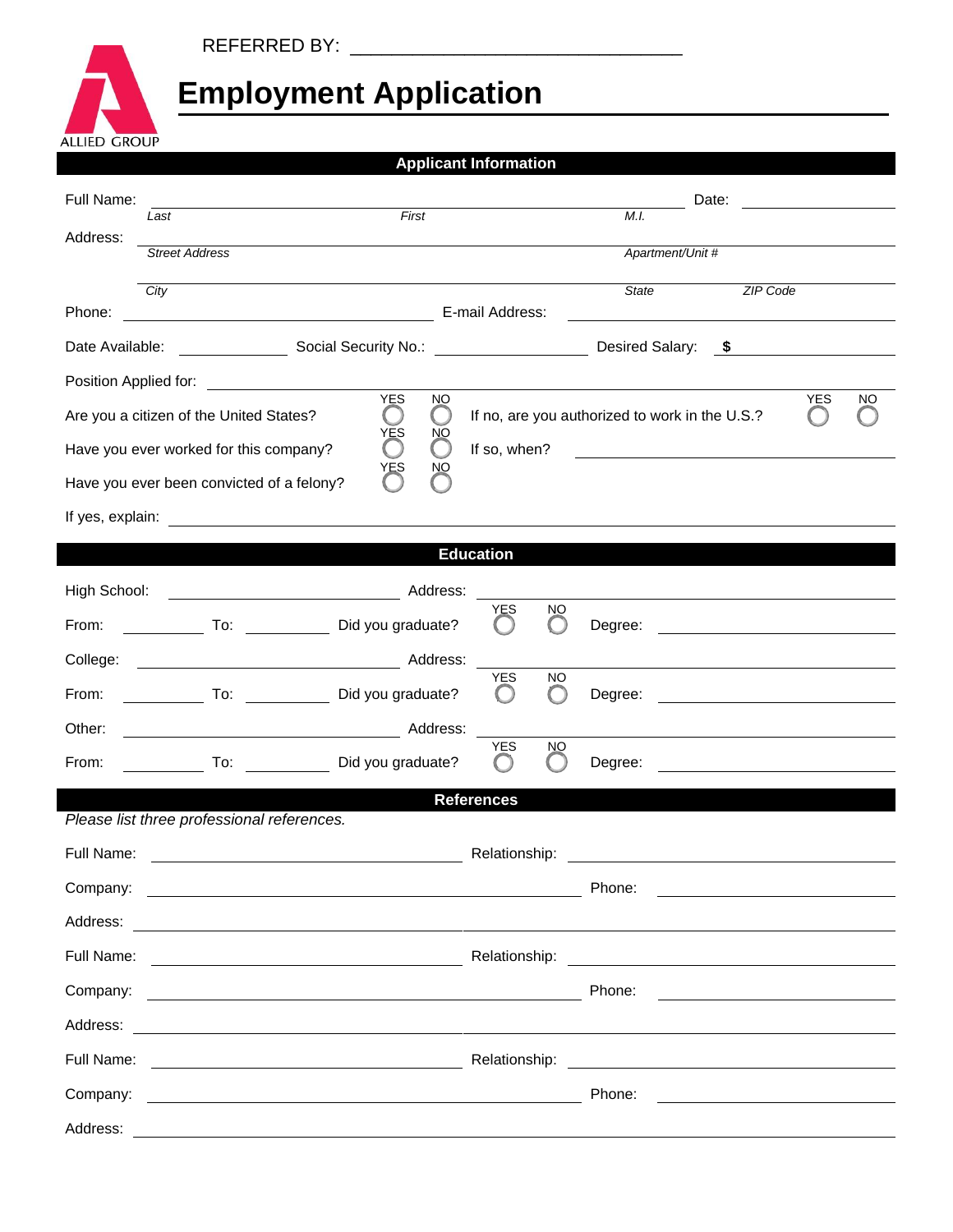## REFERRED BY: \_\_\_\_\_\_\_\_\_\_\_\_\_\_\_\_\_\_\_\_\_\_\_\_\_\_\_\_\_\_\_\_

## **Employment Application**

| <b>ALLIED GROUP</b>                                                                                                                                                                           |                                                                                  |                                   |                                                      |                                                     |                                                                                                                                |  |  |  |  |  |
|-----------------------------------------------------------------------------------------------------------------------------------------------------------------------------------------------|----------------------------------------------------------------------------------|-----------------------------------|------------------------------------------------------|-----------------------------------------------------|--------------------------------------------------------------------------------------------------------------------------------|--|--|--|--|--|
|                                                                                                                                                                                               |                                                                                  |                                   | <b>Applicant Information</b>                         |                                                     |                                                                                                                                |  |  |  |  |  |
| Full Name:                                                                                                                                                                                    |                                                                                  | First                             |                                                      |                                                     | Date:<br><u> 1989 - Jan Barbara Barat III, marka Barbara Barbara Barbara Barbara Barbara Barbara Barbara Barbara Barbara B</u> |  |  |  |  |  |
| Address:                                                                                                                                                                                      | Last                                                                             |                                   |                                                      | M.I.                                                |                                                                                                                                |  |  |  |  |  |
|                                                                                                                                                                                               | <b>Street Address</b>                                                            |                                   |                                                      | Apartment/Unit #                                    |                                                                                                                                |  |  |  |  |  |
|                                                                                                                                                                                               | City                                                                             |                                   |                                                      | State                                               | <b>ZIP Code</b>                                                                                                                |  |  |  |  |  |
| Phone:                                                                                                                                                                                        | E-mail Address:<br><u> 1989 - Johann Barn, fransk politik fotograf (d. 1989)</u> |                                   |                                                      |                                                     |                                                                                                                                |  |  |  |  |  |
|                                                                                                                                                                                               |                                                                                  |                                   | Desired Salary: \$                                   |                                                     |                                                                                                                                |  |  |  |  |  |
| Position Applied for:<br><u> 1980 - Andrea Andrew Maria (b. 1980)</u><br><b>YES</b><br><b>YES</b><br>NO<br>NO                                                                                 |                                                                                  |                                   |                                                      |                                                     |                                                                                                                                |  |  |  |  |  |
| If no, are you authorized to work in the U.S.?<br>Are you a citizen of the United States?<br>$\left( \begin{array}{c} \end{array} \right)$<br>$\left( \begin{array}{c} 1 \end{array} \right)$ |                                                                                  |                                   |                                                      |                                                     |                                                                                                                                |  |  |  |  |  |
|                                                                                                                                                                                               | Have you ever worked for this company?                                           | YES<br>ŊЮ<br>$\bigcirc$<br>$(\ )$ | If so, when?                                         | <u> 1989 - Jan Samuel Barbara, poeta esperanto-</u> |                                                                                                                                |  |  |  |  |  |
|                                                                                                                                                                                               | Have you ever been convicted of a felony?                                        | YES<br>ŊЮ                         |                                                      |                                                     |                                                                                                                                |  |  |  |  |  |
|                                                                                                                                                                                               |                                                                                  |                                   |                                                      |                                                     |                                                                                                                                |  |  |  |  |  |
|                                                                                                                                                                                               |                                                                                  |                                   |                                                      |                                                     |                                                                                                                                |  |  |  |  |  |
| <b>Education</b>                                                                                                                                                                              |                                                                                  |                                   |                                                      |                                                     |                                                                                                                                |  |  |  |  |  |
|                                                                                                                                                                                               | High School: <u>New York Channels</u> Address:                                   |                                   | YES<br>NO.                                           |                                                     |                                                                                                                                |  |  |  |  |  |
| From:                                                                                                                                                                                         | To: Did you graduate?                                                            |                                   | ( )                                                  |                                                     |                                                                                                                                |  |  |  |  |  |
| College:                                                                                                                                                                                      |                                                                                  |                                   | <b>YES</b><br><b>NO</b>                              |                                                     |                                                                                                                                |  |  |  |  |  |
| From:                                                                                                                                                                                         | To: Did you graduate?                                                            |                                   | $\left( \begin{array}{c} \end{array} \right)$<br>( ) | Degree:                                             |                                                                                                                                |  |  |  |  |  |
| Other:                                                                                                                                                                                        |                                                                                  |                                   |                                                      |                                                     |                                                                                                                                |  |  |  |  |  |
| From:                                                                                                                                                                                         | To: Did you graduate?                                                            |                                   | <b>YES</b><br><b>NO</b>                              |                                                     |                                                                                                                                |  |  |  |  |  |
| <b>References</b>                                                                                                                                                                             |                                                                                  |                                   |                                                      |                                                     |                                                                                                                                |  |  |  |  |  |
|                                                                                                                                                                                               | Please list three professional references.                                       |                                   |                                                      |                                                     |                                                                                                                                |  |  |  |  |  |
|                                                                                                                                                                                               |                                                                                  |                                   |                                                      |                                                     |                                                                                                                                |  |  |  |  |  |
|                                                                                                                                                                                               |                                                                                  |                                   |                                                      |                                                     |                                                                                                                                |  |  |  |  |  |
|                                                                                                                                                                                               |                                                                                  |                                   |                                                      |                                                     |                                                                                                                                |  |  |  |  |  |
|                                                                                                                                                                                               |                                                                                  |                                   |                                                      |                                                     |                                                                                                                                |  |  |  |  |  |
|                                                                                                                                                                                               |                                                                                  |                                   |                                                      | Phone:                                              |                                                                                                                                |  |  |  |  |  |
|                                                                                                                                                                                               |                                                                                  |                                   |                                                      |                                                     |                                                                                                                                |  |  |  |  |  |
|                                                                                                                                                                                               |                                                                                  |                                   |                                                      |                                                     |                                                                                                                                |  |  |  |  |  |
|                                                                                                                                                                                               |                                                                                  |                                   |                                                      | Phone:                                              | <u> 1989 - Andrea Station Barbara, amerikan per</u>                                                                            |  |  |  |  |  |
|                                                                                                                                                                                               |                                                                                  |                                   |                                                      |                                                     |                                                                                                                                |  |  |  |  |  |